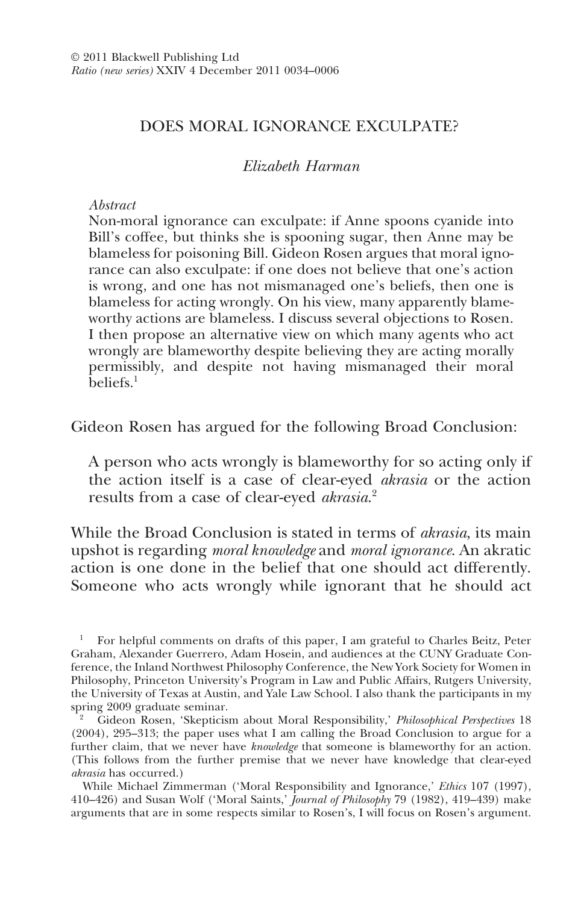## DOES MORAL IGNORANCE EXCULPATE?

### *Elizabeth Harman*

#### *Abstract*

Non-moral ignorance can exculpate: if Anne spoons cyanide into Bill's coffee, but thinks she is spooning sugar, then Anne may be blameless for poisoning Bill. Gideon Rosen argues that moral ignorance can also exculpate: if one does not believe that one's action is wrong, and one has not mismanaged one's beliefs, then one is blameless for acting wrongly. On his view, many apparently blameworthy actions are blameless. I discuss several objections to Rosen. I then propose an alternative view on which many agents who act wrongly are blameworthy despite believing they are acting morally permissibly, and despite not having mismanaged their moral beliefs.<sup>1</sup>

Gideon Rosen has argued for the following Broad Conclusion:

A person who acts wrongly is blameworthy for so acting only if the action itself is a case of clear-eyed *akrasia* or the action results from a case of clear-eyed *akrasia*. 2

While the Broad Conclusion is stated in terms of *akrasia*, its main upshot is regarding *moral knowledge* and *moral ignorance*. An akratic action is one done in the belief that one should act differently. Someone who acts wrongly while ignorant that he should act

<sup>1</sup> For helpful comments on drafts of this paper, I am grateful to Charles Beitz, Peter Graham, Alexander Guerrero, Adam Hosein, and audiences at the CUNY Graduate Conference, the Inland Northwest Philosophy Conference, the New York Society for Women in Philosophy, Princeton University's Program in Law and Public Affairs, Rutgers University, the University of Texas at Austin, and Yale Law School. I also thank the participants in my spring 2009 graduate seminar.

<sup>2</sup> Gideon Rosen, 'Skepticism about Moral Responsibility,' *Philosophical Perspectives* 18 (2004), 295–313; the paper uses what I am calling the Broad Conclusion to argue for a further claim, that we never have *knowledge* that someone is blameworthy for an action. (This follows from the further premise that we never have knowledge that clear-eyed *akrasia* has occurred.)

While Michael Zimmerman ('Moral Responsibility and Ignorance,' *Ethics* 107 (1997), 410–426) and Susan Wolf ('Moral Saints,' *Journal of Philosophy* 79 (1982), 419–439) make arguments that are in some respects similar to Rosen's, I will focus on Rosen's argument.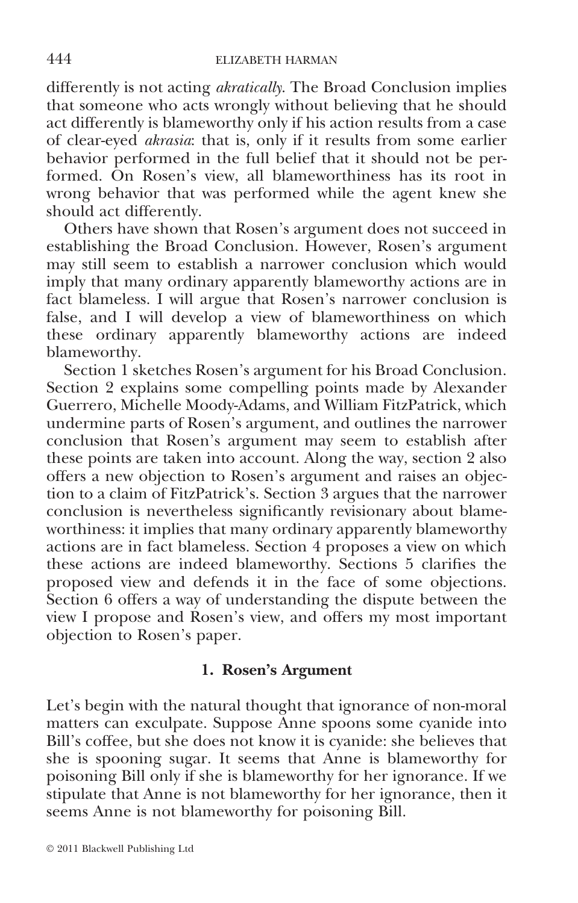differently is not acting *akratically*. The Broad Conclusion implies that someone who acts wrongly without believing that he should act differently is blameworthy only if his action results from a case of clear-eyed *akrasia*: that is, only if it results from some earlier behavior performed in the full belief that it should not be performed. On Rosen's view, all blameworthiness has its root in wrong behavior that was performed while the agent knew she should act differently.

Others have shown that Rosen's argument does not succeed in establishing the Broad Conclusion. However, Rosen's argument may still seem to establish a narrower conclusion which would imply that many ordinary apparently blameworthy actions are in fact blameless. I will argue that Rosen's narrower conclusion is false, and I will develop a view of blameworthiness on which these ordinary apparently blameworthy actions are indeed blameworthy.

Section 1 sketches Rosen's argument for his Broad Conclusion. Section 2 explains some compelling points made by Alexander Guerrero, Michelle Moody-Adams, and William FitzPatrick, which undermine parts of Rosen's argument, and outlines the narrower conclusion that Rosen's argument may seem to establish after these points are taken into account. Along the way, section 2 also offers a new objection to Rosen's argument and raises an objection to a claim of FitzPatrick's. Section 3 argues that the narrower conclusion is nevertheless significantly revisionary about blameworthiness: it implies that many ordinary apparently blameworthy actions are in fact blameless. Section 4 proposes a view on which these actions are indeed blameworthy. Sections 5 clarifies the proposed view and defends it in the face of some objections. Section 6 offers a way of understanding the dispute between the view I propose and Rosen's view, and offers my most important objection to Rosen's paper.

#### **1. Rosen's Argument**

Let's begin with the natural thought that ignorance of non-moral matters can exculpate. Suppose Anne spoons some cyanide into Bill's coffee, but she does not know it is cyanide: she believes that she is spooning sugar. It seems that Anne is blameworthy for poisoning Bill only if she is blameworthy for her ignorance. If we stipulate that Anne is not blameworthy for her ignorance, then it seems Anne is not blameworthy for poisoning Bill.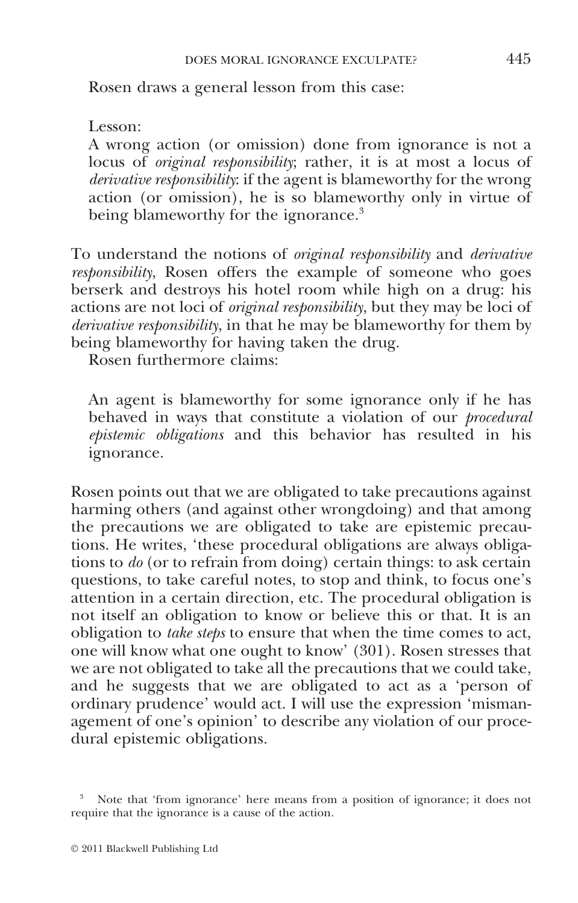Rosen draws a general lesson from this case:

# Lesson:

A wrong action (or omission) done from ignorance is not a locus of *original responsibility*; rather, it is at most a locus of *derivative responsibility*: if the agent is blameworthy for the wrong action (or omission), he is so blameworthy only in virtue of being blameworthy for the ignorance.<sup>3</sup>

To understand the notions of *original responsibility* and *derivative responsibility*, Rosen offers the example of someone who goes berserk and destroys his hotel room while high on a drug: his actions are not loci of *original responsibility*, but they may be loci of *derivative responsibility*, in that he may be blameworthy for them by being blameworthy for having taken the drug.

Rosen furthermore claims:

An agent is blameworthy for some ignorance only if he has behaved in ways that constitute a violation of our *procedural epistemic obligations* and this behavior has resulted in his ignorance.

Rosen points out that we are obligated to take precautions against harming others (and against other wrongdoing) and that among the precautions we are obligated to take are epistemic precautions. He writes, 'these procedural obligations are always obligations to *do* (or to refrain from doing) certain things: to ask certain questions, to take careful notes, to stop and think, to focus one's attention in a certain direction, etc. The procedural obligation is not itself an obligation to know or believe this or that. It is an obligation to *take steps* to ensure that when the time comes to act, one will know what one ought to know' (301). Rosen stresses that we are not obligated to take all the precautions that we could take, and he suggests that we are obligated to act as a 'person of ordinary prudence' would act. I will use the expression 'mismanagement of one's opinion' to describe any violation of our procedural epistemic obligations.

<sup>&</sup>lt;sup>3</sup> Note that 'from ignorance' here means from a position of ignorance; it does not require that the ignorance is a cause of the action.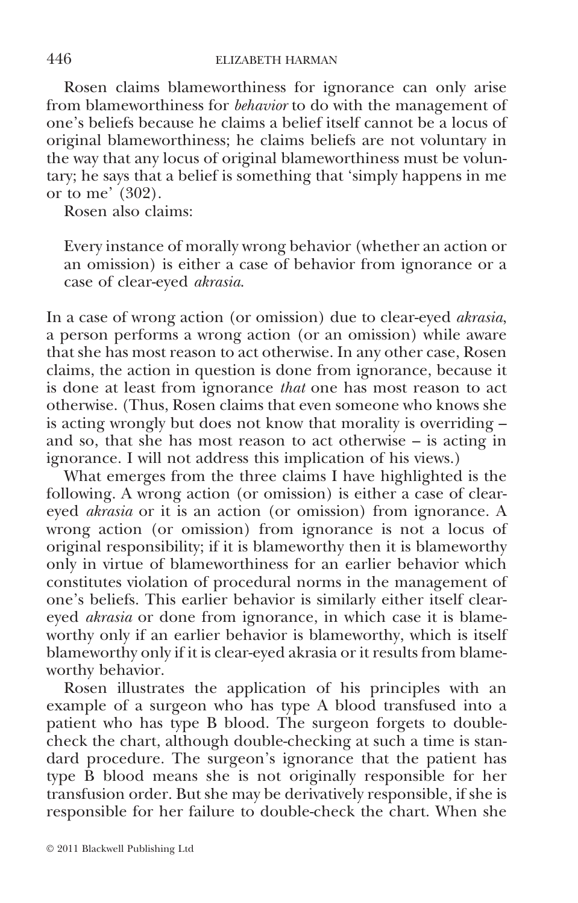Rosen claims blameworthiness for ignorance can only arise from blameworthiness for *behavior* to do with the management of one's beliefs because he claims a belief itself cannot be a locus of original blameworthiness; he claims beliefs are not voluntary in the way that any locus of original blameworthiness must be voluntary; he says that a belief is something that 'simply happens in me or to me' (302).

Rosen also claims:

Every instance of morally wrong behavior (whether an action or an omission) is either a case of behavior from ignorance or a case of clear-eyed *akrasia*.

In a case of wrong action (or omission) due to clear-eyed *akrasia*, a person performs a wrong action (or an omission) while aware that she has most reason to act otherwise. In any other case, Rosen claims, the action in question is done from ignorance, because it is done at least from ignorance *that* one has most reason to act otherwise. (Thus, Rosen claims that even someone who knows she is acting wrongly but does not know that morality is overriding – and so, that she has most reason to act otherwise – is acting in ignorance. I will not address this implication of his views.)

What emerges from the three claims I have highlighted is the following. A wrong action (or omission) is either a case of cleareyed *akrasia* or it is an action (or omission) from ignorance. A wrong action (or omission) from ignorance is not a locus of original responsibility; if it is blameworthy then it is blameworthy only in virtue of blameworthiness for an earlier behavior which constitutes violation of procedural norms in the management of one's beliefs. This earlier behavior is similarly either itself cleareyed *akrasia* or done from ignorance, in which case it is blameworthy only if an earlier behavior is blameworthy, which is itself blameworthy only if it is clear-eyed akrasia or it results from blameworthy behavior.

Rosen illustrates the application of his principles with an example of a surgeon who has type A blood transfused into a patient who has type B blood. The surgeon forgets to doublecheck the chart, although double-checking at such a time is standard procedure. The surgeon's ignorance that the patient has type B blood means she is not originally responsible for her transfusion order. But she may be derivatively responsible, if she is responsible for her failure to double-check the chart. When she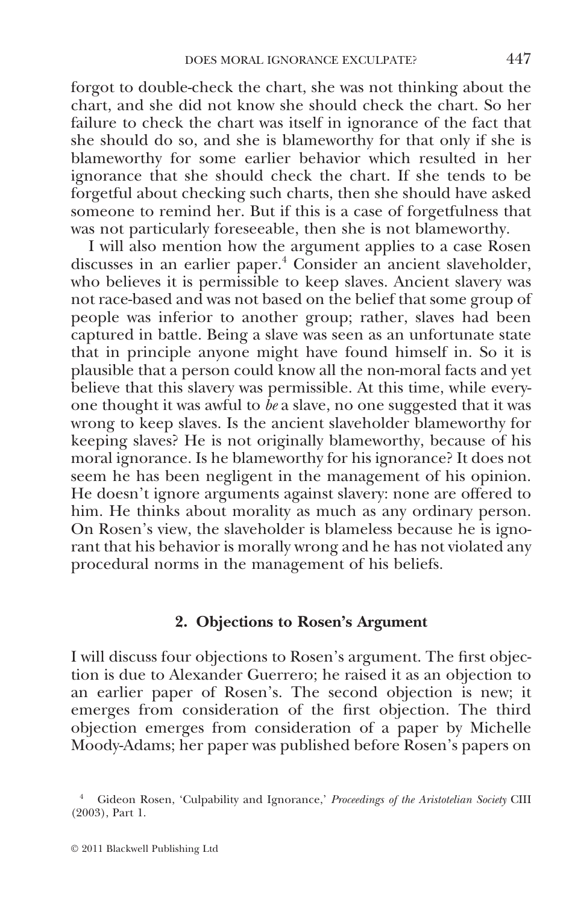forgot to double-check the chart, she was not thinking about the chart, and she did not know she should check the chart. So her failure to check the chart was itself in ignorance of the fact that she should do so, and she is blameworthy for that only if she is blameworthy for some earlier behavior which resulted in her ignorance that she should check the chart. If she tends to be forgetful about checking such charts, then she should have asked someone to remind her. But if this is a case of forgetfulness that was not particularly foreseeable, then she is not blameworthy.

I will also mention how the argument applies to a case Rosen discusses in an earlier paper.4 Consider an ancient slaveholder, who believes it is permissible to keep slaves. Ancient slavery was not race-based and was not based on the belief that some group of people was inferior to another group; rather, slaves had been captured in battle. Being a slave was seen as an unfortunate state that in principle anyone might have found himself in. So it is plausible that a person could know all the non-moral facts and yet believe that this slavery was permissible. At this time, while everyone thought it was awful to *be* a slave, no one suggested that it was wrong to keep slaves. Is the ancient slaveholder blameworthy for keeping slaves? He is not originally blameworthy, because of his moral ignorance. Is he blameworthy for his ignorance? It does not seem he has been negligent in the management of his opinion. He doesn't ignore arguments against slavery: none are offered to him. He thinks about morality as much as any ordinary person. On Rosen's view, the slaveholder is blameless because he is ignorant that his behavior is morally wrong and he has not violated any procedural norms in the management of his beliefs.

### **2. Objections to Rosen's Argument**

I will discuss four objections to Rosen's argument. The first objection is due to Alexander Guerrero; he raised it as an objection to an earlier paper of Rosen's. The second objection is new; it emerges from consideration of the first objection. The third objection emerges from consideration of a paper by Michelle Moody-Adams; her paper was published before Rosen's papers on

<sup>4</sup> Gideon Rosen, 'Culpability and Ignorance,' *Proceedings of the Aristotelian Society* CIII (2003), Part 1.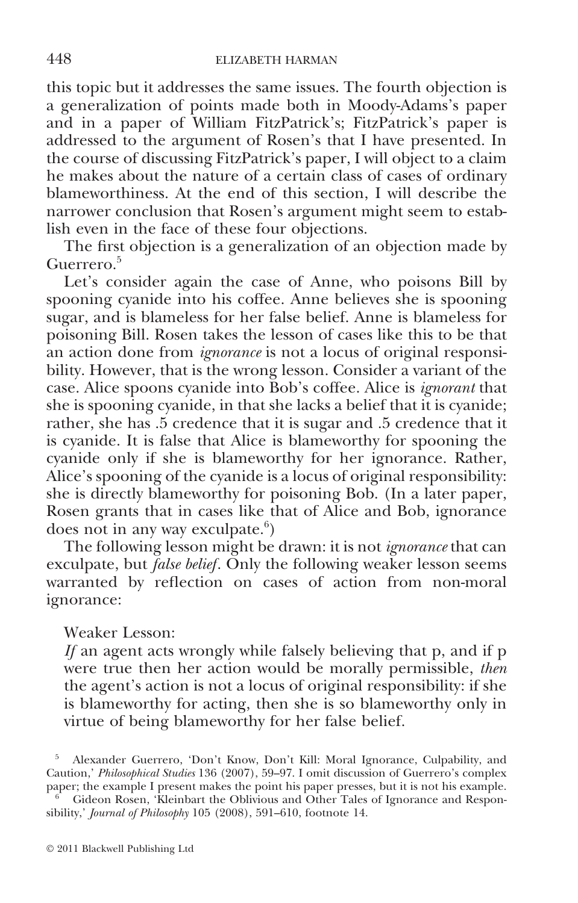this topic but it addresses the same issues. The fourth objection is a generalization of points made both in Moody-Adams's paper and in a paper of William FitzPatrick's; FitzPatrick's paper is addressed to the argument of Rosen's that I have presented. In the course of discussing FitzPatrick's paper, I will object to a claim he makes about the nature of a certain class of cases of ordinary blameworthiness. At the end of this section, I will describe the narrower conclusion that Rosen's argument might seem to establish even in the face of these four objections.

The first objection is a generalization of an objection made by Guerrero.<sup>5</sup>

Let's consider again the case of Anne, who poisons Bill by spooning cyanide into his coffee. Anne believes she is spooning sugar, and is blameless for her false belief. Anne is blameless for poisoning Bill. Rosen takes the lesson of cases like this to be that an action done from *ignorance* is not a locus of original responsibility. However, that is the wrong lesson. Consider a variant of the case. Alice spoons cyanide into Bob's coffee. Alice is *ignorant* that she is spooning cyanide, in that she lacks a belief that it is cyanide; rather, she has .5 credence that it is sugar and .5 credence that it is cyanide. It is false that Alice is blameworthy for spooning the cyanide only if she is blameworthy for her ignorance. Rather, Alice's spooning of the cyanide is a locus of original responsibility: she is directly blameworthy for poisoning Bob. (In a later paper, Rosen grants that in cases like that of Alice and Bob, ignorance does not in any way exculpate. $6$ )

The following lesson might be drawn: it is not *ignorance* that can exculpate, but *false belief*. Only the following weaker lesson seems warranted by reflection on cases of action from non-moral ignorance:

Weaker Lesson:

*If* an agent acts wrongly while falsely believing that p, and if p were true then her action would be morally permissible, *then* the agent's action is not a locus of original responsibility: if she is blameworthy for acting, then she is so blameworthy only in virtue of being blameworthy for her false belief.

<sup>5</sup> Alexander Guerrero, 'Don't Know, Don't Kill: Moral Ignorance, Culpability, and Caution,' *Philosophical Studies* 136 (2007), 59–97. I omit discussion of Guerrero's complex paper; the example I present makes the point his paper presses, but it is not his example.

<sup>6</sup> Gideon Rosen, 'Kleinbart the Oblivious and Other Tales of Ignorance and Responsibility,' *Journal of Philosophy* 105 (2008), 591–610, footnote 14.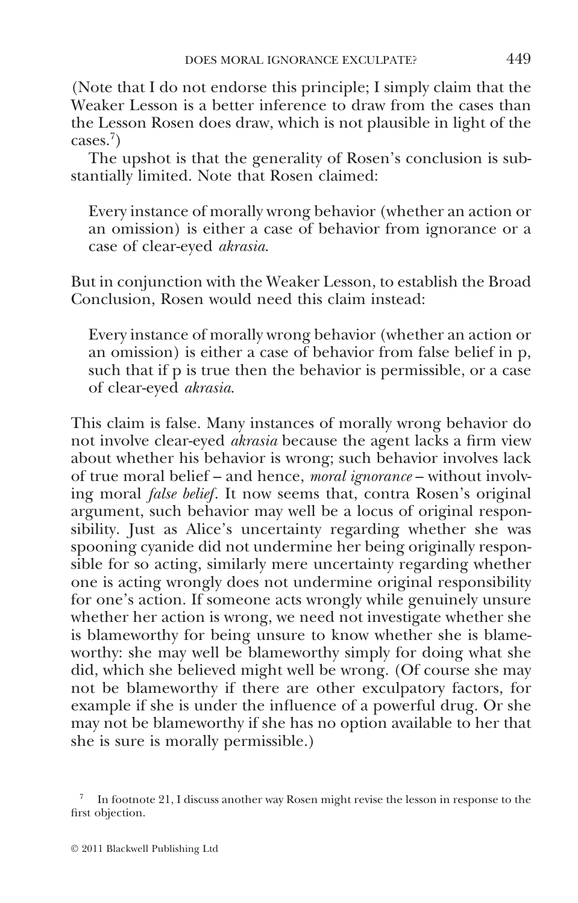(Note that I do not endorse this principle; I simply claim that the Weaker Lesson is a better inference to draw from the cases than the Lesson Rosen does draw, which is not plausible in light of the cases.7 )

The upshot is that the generality of Rosen's conclusion is substantially limited. Note that Rosen claimed:

Every instance of morally wrong behavior (whether an action or an omission) is either a case of behavior from ignorance or a case of clear-eyed *akrasia*.

But in conjunction with the Weaker Lesson, to establish the Broad Conclusion, Rosen would need this claim instead:

Every instance of morally wrong behavior (whether an action or an omission) is either a case of behavior from false belief in p, such that if p is true then the behavior is permissible, or a case of clear-eyed *akrasia*.

This claim is false. Many instances of morally wrong behavior do not involve clear-eyed *akrasia* because the agent lacks a firm view about whether his behavior is wrong; such behavior involves lack of true moral belief – and hence, *moral ignorance* – without involving moral *false belief*. It now seems that, contra Rosen's original argument, such behavior may well be a locus of original responsibility. Just as Alice's uncertainty regarding whether she was spooning cyanide did not undermine her being originally responsible for so acting, similarly mere uncertainty regarding whether one is acting wrongly does not undermine original responsibility for one's action. If someone acts wrongly while genuinely unsure whether her action is wrong, we need not investigate whether she is blameworthy for being unsure to know whether she is blameworthy: she may well be blameworthy simply for doing what she did, which she believed might well be wrong. (Of course she may not be blameworthy if there are other exculpatory factors, for example if she is under the influence of a powerful drug. Or she may not be blameworthy if she has no option available to her that she is sure is morally permissible.)

In footnote 21, I discuss another way Rosen might revise the lesson in response to the first objection.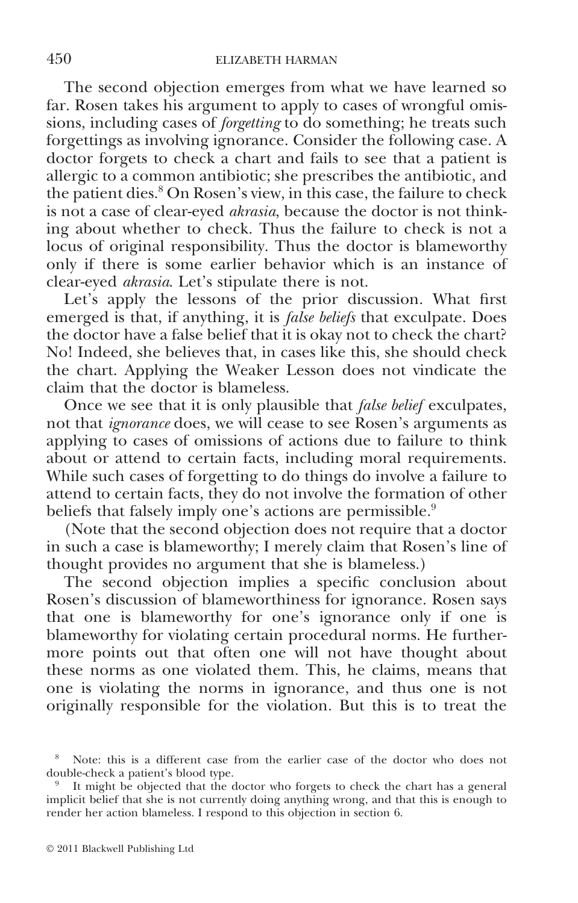The second objection emerges from what we have learned so far. Rosen takes his argument to apply to cases of wrongful omissions, including cases of *forgetting* to do something; he treats such forgettings as involving ignorance. Consider the following case. A doctor forgets to check a chart and fails to see that a patient is allergic to a common antibiotic; she prescribes the antibiotic, and the patient dies.<sup>8</sup> On Rosen's view, in this case, the failure to check is not a case of clear-eyed *akrasia*, because the doctor is not thinking about whether to check. Thus the failure to check is not a locus of original responsibility. Thus the doctor is blameworthy only if there is some earlier behavior which is an instance of clear-eyed *akrasia*. Let's stipulate there is not.

Let's apply the lessons of the prior discussion. What first emerged is that, if anything, it is *false beliefs* that exculpate. Does the doctor have a false belief that it is okay not to check the chart? No! Indeed, she believes that, in cases like this, she should check the chart. Applying the Weaker Lesson does not vindicate the claim that the doctor is blameless.

Once we see that it is only plausible that *false belief* exculpates, not that *ignorance* does, we will cease to see Rosen's arguments as applying to cases of omissions of actions due to failure to think about or attend to certain facts, including moral requirements. While such cases of forgetting to do things do involve a failure to attend to certain facts, they do not involve the formation of other beliefs that falsely imply one's actions are permissible.<sup>9</sup>

(Note that the second objection does not require that a doctor in such a case is blameworthy; I merely claim that Rosen's line of thought provides no argument that she is blameless.)

The second objection implies a specific conclusion about Rosen's discussion of blameworthiness for ignorance. Rosen says that one is blameworthy for one's ignorance only if one is blameworthy for violating certain procedural norms. He furthermore points out that often one will not have thought about these norms as one violated them. This, he claims, means that one is violating the norms in ignorance, and thus one is not originally responsible for the violation. But this is to treat the

Note: this is a different case from the earlier case of the doctor who does not double-check a patient's blood type.

It might be objected that the doctor who forgets to check the chart has a general implicit belief that she is not currently doing anything wrong, and that this is enough to render her action blameless. I respond to this objection in section 6.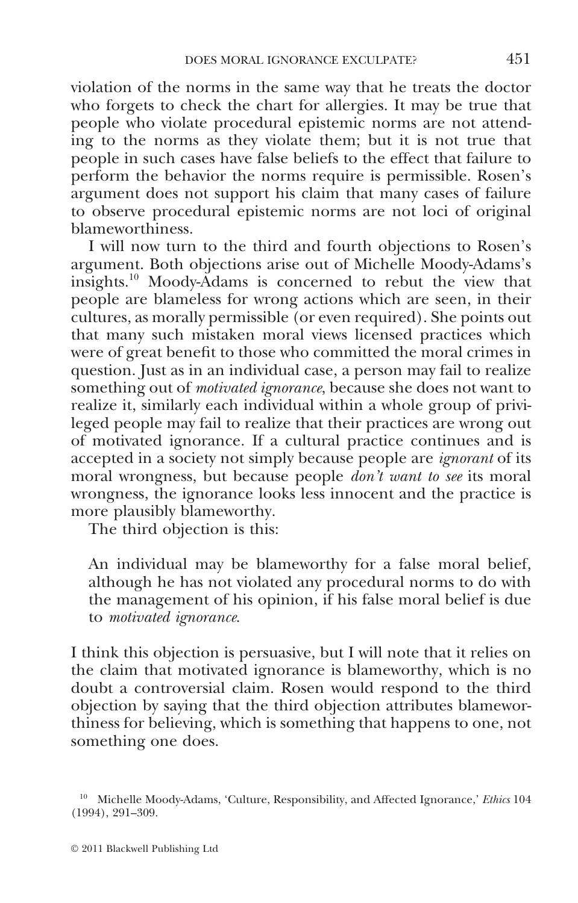violation of the norms in the same way that he treats the doctor who forgets to check the chart for allergies. It may be true that people who violate procedural epistemic norms are not attending to the norms as they violate them; but it is not true that people in such cases have false beliefs to the effect that failure to perform the behavior the norms require is permissible. Rosen's argument does not support his claim that many cases of failure to observe procedural epistemic norms are not loci of original blameworthiness.

I will now turn to the third and fourth objections to Rosen's argument. Both objections arise out of Michelle Moody-Adams's insights.10 Moody-Adams is concerned to rebut the view that people are blameless for wrong actions which are seen, in their cultures, as morally permissible (or even required). She points out that many such mistaken moral views licensed practices which were of great benefit to those who committed the moral crimes in question. Just as in an individual case, a person may fail to realize something out of *motivated ignorance*, because she does not want to realize it, similarly each individual within a whole group of privileged people may fail to realize that their practices are wrong out of motivated ignorance. If a cultural practice continues and is accepted in a society not simply because people are *ignorant* of its moral wrongness, but because people *don't want to see* its moral wrongness, the ignorance looks less innocent and the practice is more plausibly blameworthy.

The third objection is this:

An individual may be blameworthy for a false moral belief, although he has not violated any procedural norms to do with the management of his opinion, if his false moral belief is due to *motivated ignorance*.

I think this objection is persuasive, but I will note that it relies on the claim that motivated ignorance is blameworthy, which is no doubt a controversial claim. Rosen would respond to the third objection by saying that the third objection attributes blameworthiness for believing, which is something that happens to one, not something one does.

<sup>10</sup> Michelle Moody-Adams, 'Culture, Responsibility, and Affected Ignorance,' *Ethics* 104 (1994), 291–309.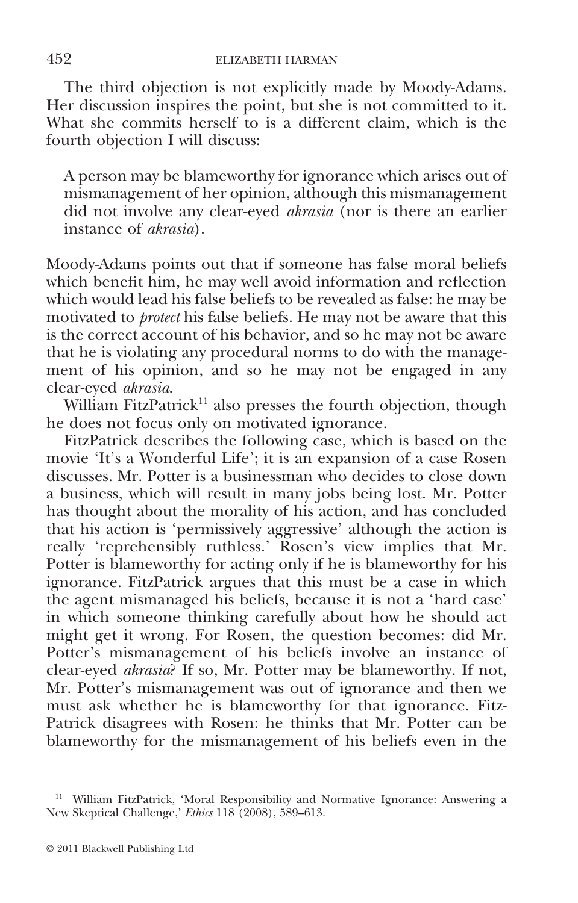The third objection is not explicitly made by Moody-Adams. Her discussion inspires the point, but she is not committed to it. What she commits herself to is a different claim, which is the fourth objection I will discuss:

A person may be blameworthy for ignorance which arises out of mismanagement of her opinion, although this mismanagement did not involve any clear-eyed *akrasia* (nor is there an earlier instance of *akrasia*).

Moody-Adams points out that if someone has false moral beliefs which benefit him, he may well avoid information and reflection which would lead his false beliefs to be revealed as false: he may be motivated to *protect* his false beliefs. He may not be aware that this is the correct account of his behavior, and so he may not be aware that he is violating any procedural norms to do with the management of his opinion, and so he may not be engaged in any clear-eyed *akrasia*.

William FitzPatrick<sup>11</sup> also presses the fourth objection, though he does not focus only on motivated ignorance.

FitzPatrick describes the following case, which is based on the movie 'It's a Wonderful Life'; it is an expansion of a case Rosen discusses. Mr. Potter is a businessman who decides to close down a business, which will result in many jobs being lost. Mr. Potter has thought about the morality of his action, and has concluded that his action is 'permissively aggressive' although the action is really 'reprehensibly ruthless.' Rosen's view implies that Mr. Potter is blameworthy for acting only if he is blameworthy for his ignorance. FitzPatrick argues that this must be a case in which the agent mismanaged his beliefs, because it is not a 'hard case' in which someone thinking carefully about how he should act might get it wrong. For Rosen, the question becomes: did Mr. Potter's mismanagement of his beliefs involve an instance of clear-eyed *akrasia*? If so, Mr. Potter may be blameworthy. If not, Mr. Potter's mismanagement was out of ignorance and then we must ask whether he is blameworthy for that ignorance. Fitz-Patrick disagrees with Rosen: he thinks that Mr. Potter can be blameworthy for the mismanagement of his beliefs even in the

<sup>11</sup> William FitzPatrick, 'Moral Responsibility and Normative Ignorance: Answering a New Skeptical Challenge,' *Ethics* 118 (2008), 589–613.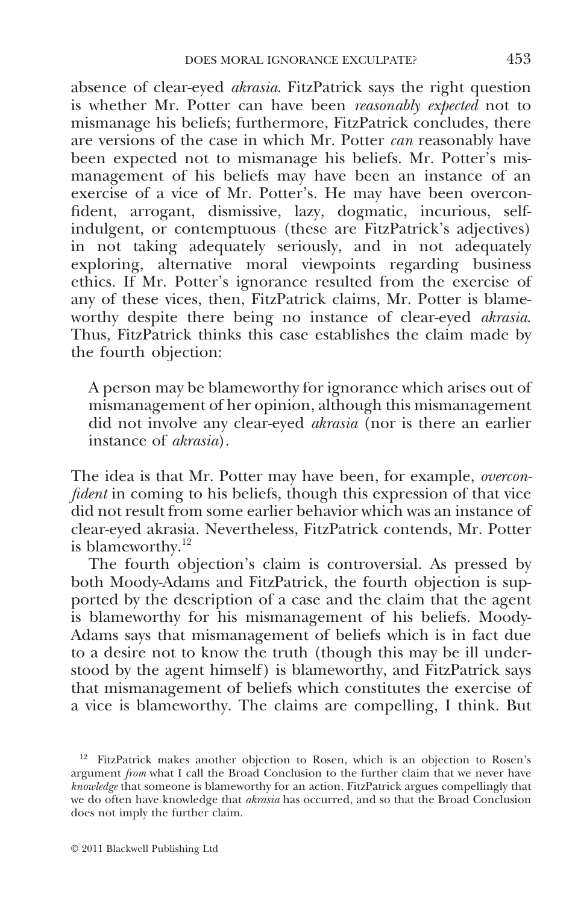absence of clear-eyed *akrasia*. FitzPatrick says the right question is whether Mr. Potter can have been *reasonably expected* not to mismanage his beliefs; furthermore, FitzPatrick concludes, there are versions of the case in which Mr. Potter *can* reasonably have been expected not to mismanage his beliefs. Mr. Potter's mismanagement of his beliefs may have been an instance of an exercise of a vice of Mr. Potter's. He may have been overconfident, arrogant, dismissive, lazy, dogmatic, incurious, selfindulgent, or contemptuous (these are FitzPatrick's adjectives) in not taking adequately seriously, and in not adequately exploring, alternative moral viewpoints regarding business ethics. If Mr. Potter's ignorance resulted from the exercise of any of these vices, then, FitzPatrick claims, Mr. Potter is blameworthy despite there being no instance of clear-eyed *akrasia*. Thus, FitzPatrick thinks this case establishes the claim made by the fourth objection:

A person may be blameworthy for ignorance which arises out of mismanagement of her opinion, although this mismanagement did not involve any clear-eyed *akrasia* (nor is there an earlier instance of *akrasia*).

The idea is that Mr. Potter may have been, for example, *overconfident* in coming to his beliefs, though this expression of that vice did not result from some earlier behavior which was an instance of clear-eyed akrasia. Nevertheless, FitzPatrick contends, Mr. Potter is blameworthy. $12$ 

The fourth objection's claim is controversial. As pressed by both Moody-Adams and FitzPatrick, the fourth objection is supported by the description of a case and the claim that the agent is blameworthy for his mismanagement of his beliefs. Moody-Adams says that mismanagement of beliefs which is in fact due to a desire not to know the truth (though this may be ill understood by the agent himself) is blameworthy, and FitzPatrick says that mismanagement of beliefs which constitutes the exercise of a vice is blameworthy. The claims are compelling, I think. But

<sup>&</sup>lt;sup>12</sup> FitzPatrick makes another objection to Rosen, which is an objection to Rosen's argument *from* what I call the Broad Conclusion to the further claim that we never have *knowledge* that someone is blameworthy for an action. FitzPatrick argues compellingly that we do often have knowledge that *akrasia* has occurred, and so that the Broad Conclusion does not imply the further claim.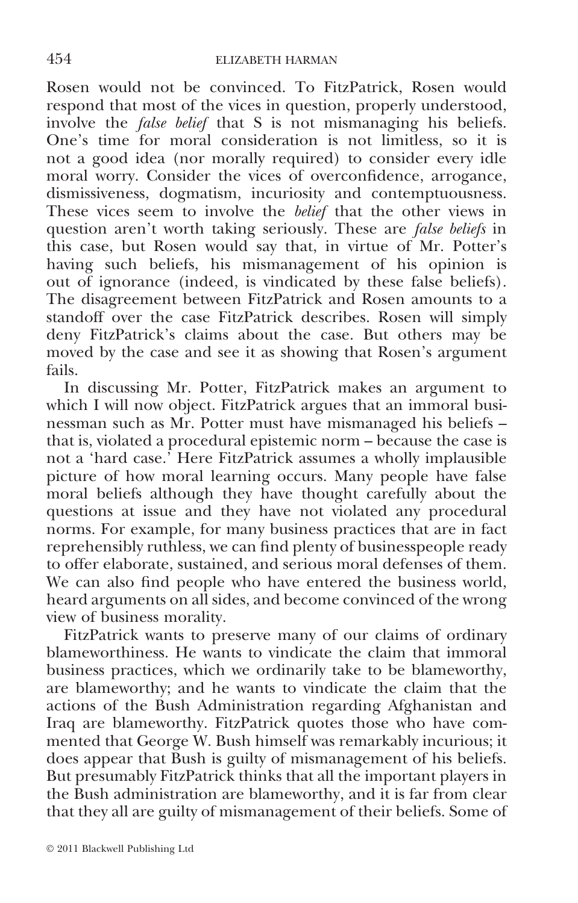Rosen would not be convinced. To FitzPatrick, Rosen would respond that most of the vices in question, properly understood, involve the *false belief* that S is not mismanaging his beliefs. One's time for moral consideration is not limitless, so it is not a good idea (nor morally required) to consider every idle moral worry. Consider the vices of overconfidence, arrogance, dismissiveness, dogmatism, incuriosity and contemptuousness. These vices seem to involve the *belief* that the other views in question aren't worth taking seriously. These are *false beliefs* in this case, but Rosen would say that, in virtue of Mr. Potter's having such beliefs, his mismanagement of his opinion is out of ignorance (indeed, is vindicated by these false beliefs). The disagreement between FitzPatrick and Rosen amounts to a standoff over the case FitzPatrick describes. Rosen will simply deny FitzPatrick's claims about the case. But others may be moved by the case and see it as showing that Rosen's argument fails.

In discussing Mr. Potter, FitzPatrick makes an argument to which I will now object. FitzPatrick argues that an immoral businessman such as Mr. Potter must have mismanaged his beliefs – that is, violated a procedural epistemic norm – because the case is not a 'hard case.' Here FitzPatrick assumes a wholly implausible picture of how moral learning occurs. Many people have false moral beliefs although they have thought carefully about the questions at issue and they have not violated any procedural norms. For example, for many business practices that are in fact reprehensibly ruthless, we can find plenty of businesspeople ready to offer elaborate, sustained, and serious moral defenses of them. We can also find people who have entered the business world, heard arguments on all sides, and become convinced of the wrong view of business morality.

FitzPatrick wants to preserve many of our claims of ordinary blameworthiness. He wants to vindicate the claim that immoral business practices, which we ordinarily take to be blameworthy, are blameworthy; and he wants to vindicate the claim that the actions of the Bush Administration regarding Afghanistan and Iraq are blameworthy. FitzPatrick quotes those who have commented that George W. Bush himself was remarkably incurious; it does appear that Bush is guilty of mismanagement of his beliefs. But presumably FitzPatrick thinks that all the important players in the Bush administration are blameworthy, and it is far from clear that they all are guilty of mismanagement of their beliefs. Some of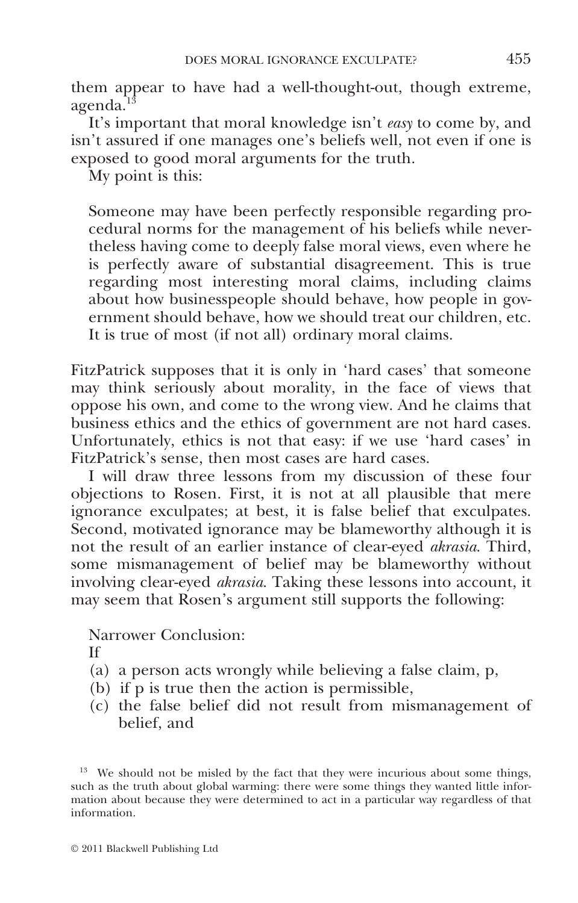them appear to have had a well-thought-out, though extreme, agenda.

It's important that moral knowledge isn't *easy* to come by, and isn't assured if one manages one's beliefs well, not even if one is exposed to good moral arguments for the truth.

My point is this:

Someone may have been perfectly responsible regarding procedural norms for the management of his beliefs while nevertheless having come to deeply false moral views, even where he is perfectly aware of substantial disagreement. This is true regarding most interesting moral claims, including claims about how businesspeople should behave, how people in government should behave, how we should treat our children, etc. It is true of most (if not all) ordinary moral claims.

FitzPatrick supposes that it is only in 'hard cases' that someone may think seriously about morality, in the face of views that oppose his own, and come to the wrong view. And he claims that business ethics and the ethics of government are not hard cases. Unfortunately, ethics is not that easy: if we use 'hard cases' in FitzPatrick's sense, then most cases are hard cases.

I will draw three lessons from my discussion of these four objections to Rosen. First, it is not at all plausible that mere ignorance exculpates; at best, it is false belief that exculpates. Second, motivated ignorance may be blameworthy although it is not the result of an earlier instance of clear-eyed *akrasia*. Third, some mismanagement of belief may be blameworthy without involving clear-eyed *akrasia*. Taking these lessons into account, it may seem that Rosen's argument still supports the following:

Narrower Conclusion:

If

- (a) a person acts wrongly while believing a false claim, p,
- (b) if p is true then the action is permissible,
- (c) the false belief did not result from mismanagement of belief, and

 $13$  We should not be misled by the fact that they were incurious about some things, such as the truth about global warming: there were some things they wanted little information about because they were determined to act in a particular way regardless of that information.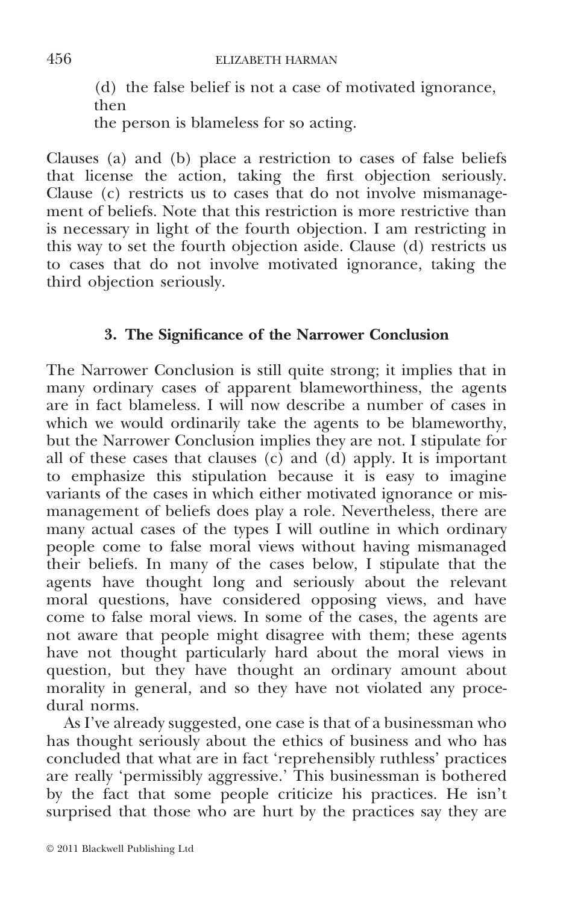(d) the false belief is not a case of motivated ignorance, then

the person is blameless for so acting.

Clauses (a) and (b) place a restriction to cases of false beliefs that license the action, taking the first objection seriously. Clause (c) restricts us to cases that do not involve mismanagement of beliefs. Note that this restriction is more restrictive than is necessary in light of the fourth objection. I am restricting in this way to set the fourth objection aside. Clause (d) restricts us to cases that do not involve motivated ignorance, taking the third objection seriously.

# **3. The Significance of the Narrower Conclusion**

The Narrower Conclusion is still quite strong; it implies that in many ordinary cases of apparent blameworthiness, the agents are in fact blameless. I will now describe a number of cases in which we would ordinarily take the agents to be blameworthy, but the Narrower Conclusion implies they are not. I stipulate for all of these cases that clauses (c) and (d) apply. It is important to emphasize this stipulation because it is easy to imagine variants of the cases in which either motivated ignorance or mismanagement of beliefs does play a role. Nevertheless, there are many actual cases of the types  $\acute{I}$  will outline in which ordinary people come to false moral views without having mismanaged their beliefs. In many of the cases below, I stipulate that the agents have thought long and seriously about the relevant moral questions, have considered opposing views, and have come to false moral views. In some of the cases, the agents are not aware that people might disagree with them; these agents have not thought particularly hard about the moral views in question, but they have thought an ordinary amount about morality in general, and so they have not violated any procedural norms.

As I've already suggested, one case is that of a businessman who has thought seriously about the ethics of business and who has concluded that what are in fact 'reprehensibly ruthless' practices are really 'permissibly aggressive.' This businessman is bothered by the fact that some people criticize his practices. He isn't surprised that those who are hurt by the practices say they are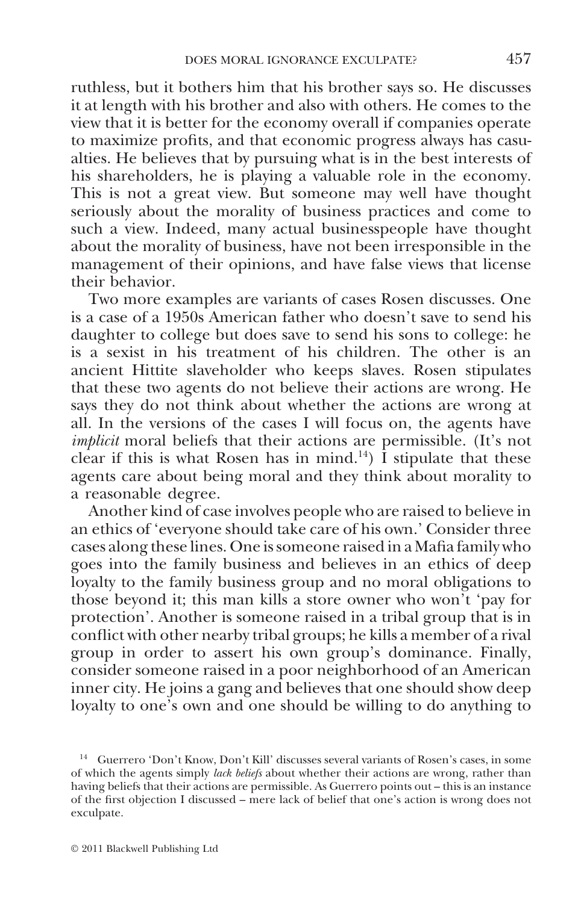ruthless, but it bothers him that his brother says so. He discusses it at length with his brother and also with others. He comes to the view that it is better for the economy overall if companies operate to maximize profits, and that economic progress always has casualties. He believes that by pursuing what is in the best interests of his shareholders, he is playing a valuable role in the economy. This is not a great view. But someone may well have thought seriously about the morality of business practices and come to such a view. Indeed, many actual businesspeople have thought about the morality of business, have not been irresponsible in the management of their opinions, and have false views that license their behavior.

Two more examples are variants of cases Rosen discusses. One is a case of a 1950s American father who doesn't save to send his daughter to college but does save to send his sons to college: he is a sexist in his treatment of his children. The other is an ancient Hittite slaveholder who keeps slaves. Rosen stipulates that these two agents do not believe their actions are wrong. He says they do not think about whether the actions are wrong at all. In the versions of the cases I will focus on, the agents have *implicit* moral beliefs that their actions are permissible. (It's not clear if this is what Rosen has in mind.<sup>14</sup>) I stipulate that these agents care about being moral and they think about morality to a reasonable degree.

Another kind of case involves people who are raised to believe in an ethics of 'everyone should take care of his own.' Consider three cases along these lines. One is someone raised in a Mafia family who goes into the family business and believes in an ethics of deep loyalty to the family business group and no moral obligations to those beyond it; this man kills a store owner who won't 'pay for protection'. Another is someone raised in a tribal group that is in conflict with other nearby tribal groups; he kills a member of a rival group in order to assert his own group's dominance. Finally, consider someone raised in a poor neighborhood of an American inner city. He joins a gang and believes that one should show deep loyalty to one's own and one should be willing to do anything to

<sup>14</sup> Guerrero 'Don't Know, Don't Kill' discusses several variants of Rosen's cases, in some of which the agents simply *lack beliefs* about whether their actions are wrong, rather than having beliefs that their actions are permissible. As Guerrero points out – this is an instance of the first objection I discussed – mere lack of belief that one's action is wrong does not exculpate.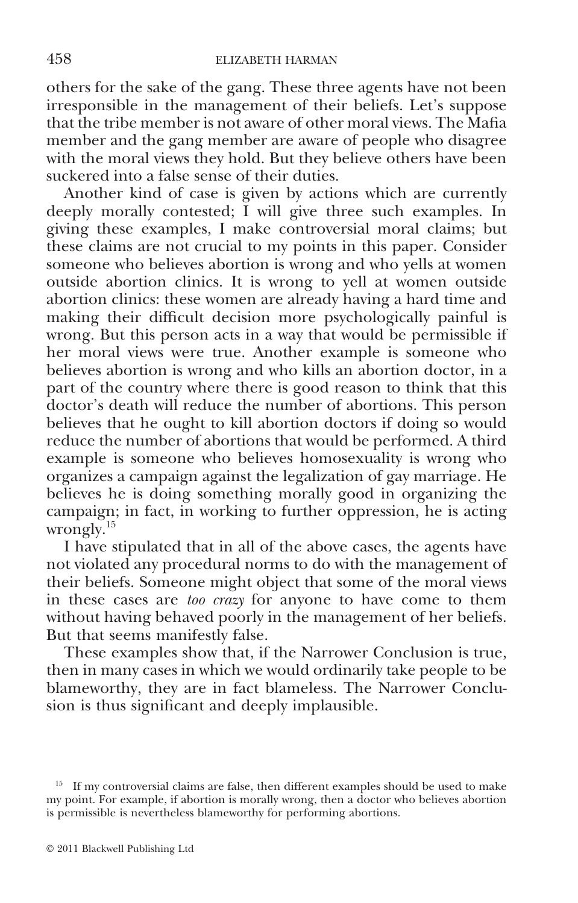others for the sake of the gang. These three agents have not been irresponsible in the management of their beliefs. Let's suppose that the tribe member is not aware of other moral views. The Mafia member and the gang member are aware of people who disagree with the moral views they hold. But they believe others have been suckered into a false sense of their duties.

Another kind of case is given by actions which are currently deeply morally contested; I will give three such examples. In giving these examples, I make controversial moral claims; but these claims are not crucial to my points in this paper. Consider someone who believes abortion is wrong and who yells at women outside abortion clinics. It is wrong to yell at women outside abortion clinics: these women are already having a hard time and making their difficult decision more psychologically painful is wrong. But this person acts in a way that would be permissible if her moral views were true. Another example is someone who believes abortion is wrong and who kills an abortion doctor, in a part of the country where there is good reason to think that this doctor's death will reduce the number of abortions. This person believes that he ought to kill abortion doctors if doing so would reduce the number of abortions that would be performed. A third example is someone who believes homosexuality is wrong who organizes a campaign against the legalization of gay marriage. He believes he is doing something morally good in organizing the campaign; in fact, in working to further oppression, he is acting wrongly.<sup>15</sup>

I have stipulated that in all of the above cases, the agents have not violated any procedural norms to do with the management of their beliefs. Someone might object that some of the moral views in these cases are *too crazy* for anyone to have come to them without having behaved poorly in the management of her beliefs. But that seems manifestly false.

These examples show that, if the Narrower Conclusion is true, then in many cases in which we would ordinarily take people to be blameworthy, they are in fact blameless. The Narrower Conclusion is thus significant and deeply implausible.

<sup>&</sup>lt;sup>15</sup> If my controversial claims are false, then different examples should be used to make my point. For example, if abortion is morally wrong, then a doctor who believes abortion is permissible is nevertheless blameworthy for performing abortions.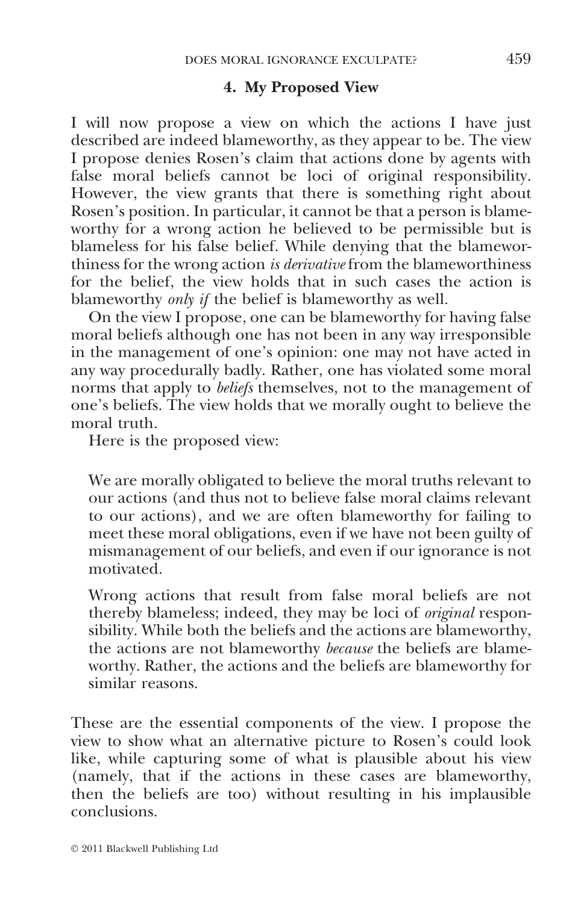## **4. My Proposed View**

I will now propose a view on which the actions I have just described are indeed blameworthy, as they appear to be. The view I propose denies Rosen's claim that actions done by agents with false moral beliefs cannot be loci of original responsibility. However, the view grants that there is something right about Rosen's position. In particular, it cannot be that a person is blameworthy for a wrong action he believed to be permissible but is blameless for his false belief. While denying that the blameworthiness for the wrong action *is derivative* from the blameworthiness for the belief, the view holds that in such cases the action is blameworthy *only if* the belief is blameworthy as well.

On the view I propose, one can be blameworthy for having false moral beliefs although one has not been in any way irresponsible in the management of one's opinion: one may not have acted in any way procedurally badly. Rather, one has violated some moral norms that apply to *beliefs* themselves, not to the management of one's beliefs. The view holds that we morally ought to believe the moral truth.

Here is the proposed view:

We are morally obligated to believe the moral truths relevant to our actions (and thus not to believe false moral claims relevant to our actions), and we are often blameworthy for failing to meet these moral obligations, even if we have not been guilty of mismanagement of our beliefs, and even if our ignorance is not motivated.

Wrong actions that result from false moral beliefs are not thereby blameless; indeed, they may be loci of *original* responsibility. While both the beliefs and the actions are blameworthy, the actions are not blameworthy *because* the beliefs are blameworthy. Rather, the actions and the beliefs are blameworthy for similar reasons.

These are the essential components of the view. I propose the view to show what an alternative picture to Rosen's could look like, while capturing some of what is plausible about his view (namely, that if the actions in these cases are blameworthy, then the beliefs are too) without resulting in his implausible conclusions.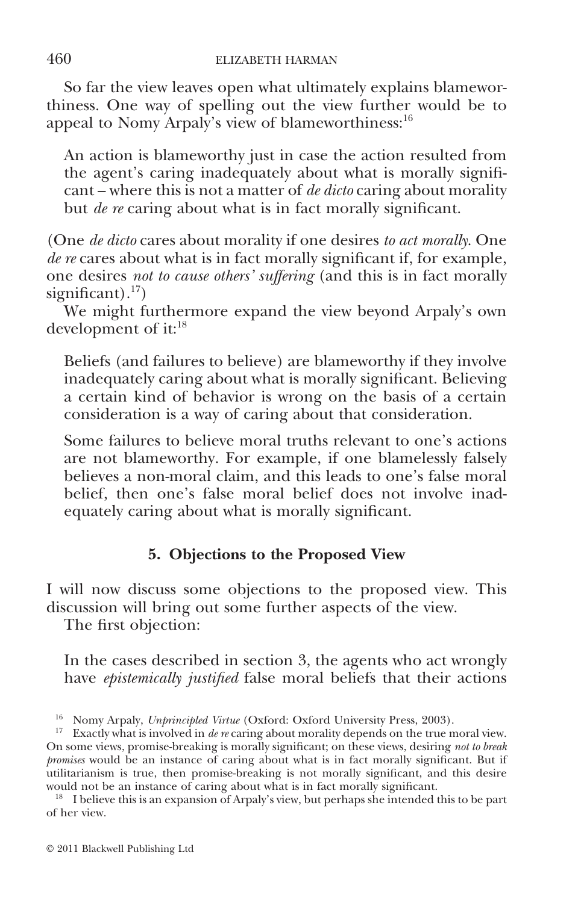So far the view leaves open what ultimately explains blameworthiness. One way of spelling out the view further would be to appeal to Nomy Arpaly's view of blameworthiness:<sup>16</sup>

An action is blameworthy just in case the action resulted from the agent's caring inadequately about what is morally significant – where this is not a matter of *de dicto* caring about morality but *de re* caring about what is in fact morally significant.

(One *de dicto* cares about morality if one desires *to act morally*. One *de re* cares about what is in fact morally significant if, for example, one desires *not to cause others' suffering* (and this is in fact morally significant). $17$ )

We might furthermore expand the view beyond Arpaly's own development of it:18

Beliefs (and failures to believe) are blameworthy if they involve inadequately caring about what is morally significant. Believing a certain kind of behavior is wrong on the basis of a certain consideration is a way of caring about that consideration.

Some failures to believe moral truths relevant to one's actions are not blameworthy. For example, if one blamelessly falsely believes a non-moral claim, and this leads to one's false moral belief, then one's false moral belief does not involve inadequately caring about what is morally significant.

# **5. Objections to the Proposed View**

I will now discuss some objections to the proposed view. This discussion will bring out some further aspects of the view.

The first objection:

In the cases described in section 3, the agents who act wrongly have *epistemically justified* false moral beliefs that their actions

<sup>18</sup> I believe this is an expansion of Arpaly's view, but perhaps she intended this to be part of her view.

<sup>16</sup> Nomy Arpaly, *Unprincipled Virtue* (Oxford: Oxford University Press, 2003).

<sup>&</sup>lt;sup>17</sup> Exactly what is involved in *de re* caring about morality depends on the true moral view. On some views, promise-breaking is morally significant; on these views, desiring *not to break promises* would be an instance of caring about what is in fact morally significant. But if utilitarianism is true, then promise-breaking is not morally significant, and this desire would not be an instance of caring about what is in fact morally significant.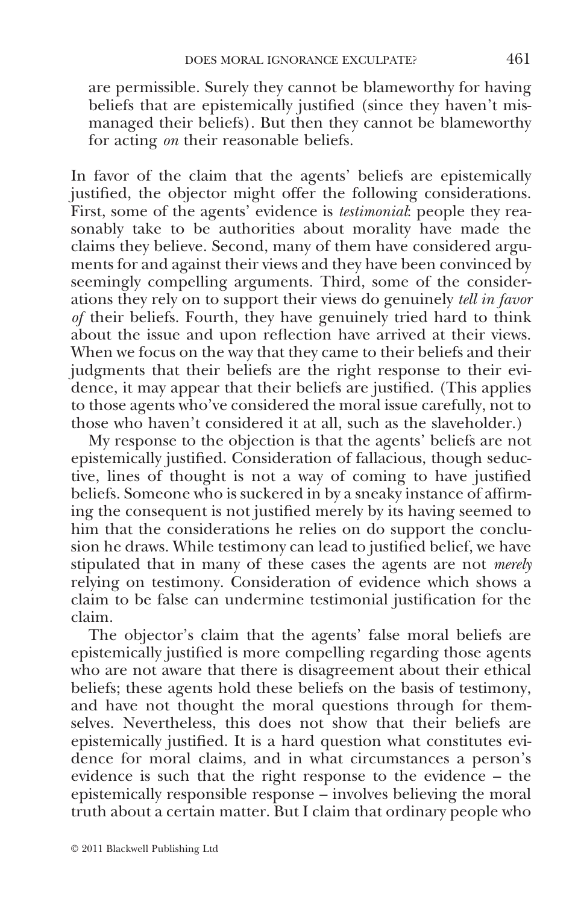are permissible. Surely they cannot be blameworthy for having beliefs that are epistemically justified (since they haven't mismanaged their beliefs). But then they cannot be blameworthy for acting *on* their reasonable beliefs.

In favor of the claim that the agents' beliefs are epistemically justified, the objector might offer the following considerations. First, some of the agents' evidence is *testimonial*: people they reasonably take to be authorities about morality have made the claims they believe. Second, many of them have considered arguments for and against their views and they have been convinced by seemingly compelling arguments. Third, some of the considerations they rely on to support their views do genuinely *tell in favor of* their beliefs. Fourth, they have genuinely tried hard to think about the issue and upon reflection have arrived at their views. When we focus on the way that they came to their beliefs and their judgments that their beliefs are the right response to their evidence, it may appear that their beliefs are justified. (This applies to those agents who've considered the moral issue carefully, not to those who haven't considered it at all, such as the slaveholder.)

My response to the objection is that the agents' beliefs are not epistemically justified. Consideration of fallacious, though seductive, lines of thought is not a way of coming to have justified beliefs. Someone who is suckered in by a sneaky instance of affirming the consequent is not justified merely by its having seemed to him that the considerations he relies on do support the conclusion he draws. While testimony can lead to justified belief, we have stipulated that in many of these cases the agents are not *merely* relying on testimony. Consideration of evidence which shows a claim to be false can undermine testimonial justification for the claim.

The objector's claim that the agents' false moral beliefs are epistemically justified is more compelling regarding those agents who are not aware that there is disagreement about their ethical beliefs; these agents hold these beliefs on the basis of testimony, and have not thought the moral questions through for themselves. Nevertheless, this does not show that their beliefs are epistemically justified. It is a hard question what constitutes evidence for moral claims, and in what circumstances a person's evidence is such that the right response to the evidence – the epistemically responsible response – involves believing the moral truth about a certain matter. But I claim that ordinary people who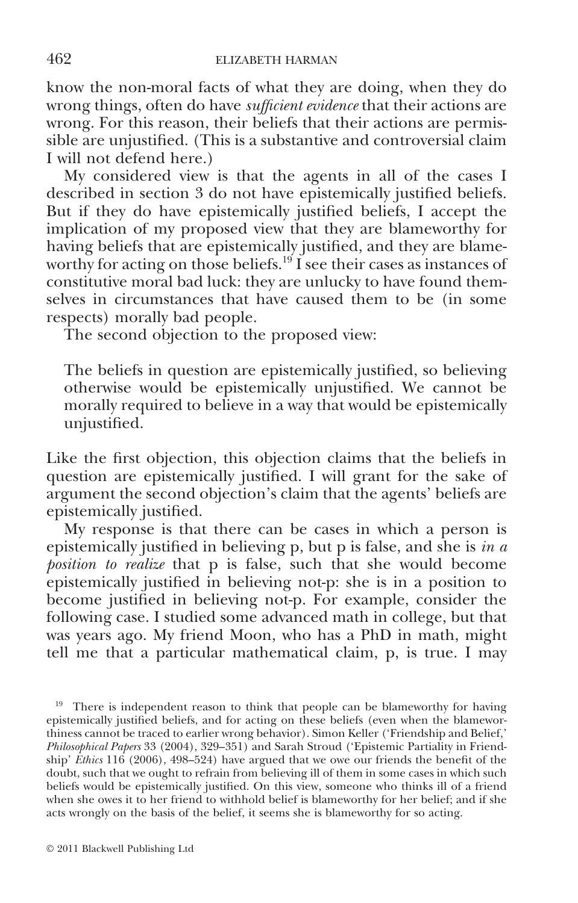know the non-moral facts of what they are doing, when they do wrong things, often do have *sufficient evidence* that their actions are wrong. For this reason, their beliefs that their actions are permissible are unjustified. (This is a substantive and controversial claim I will not defend here.)

My considered view is that the agents in all of the cases I described in section 3 do not have epistemically justified beliefs. But if they do have epistemically justified beliefs, I accept the implication of my proposed view that they are blameworthy for having beliefs that are epistemically justified, and they are blameworthy for acting on those beliefs.<sup>19</sup> I see their cases as instances of constitutive moral bad luck: they are unlucky to have found themselves in circumstances that have caused them to be (in some respects) morally bad people.

The second objection to the proposed view:

The beliefs in question are epistemically justified, so believing otherwise would be epistemically unjustified. We cannot be morally required to believe in a way that would be epistemically unjustified.

Like the first objection, this objection claims that the beliefs in question are epistemically justified. I will grant for the sake of argument the second objection's claim that the agents' beliefs are epistemically justified.

My response is that there can be cases in which a person is epistemically justified in believing p, but p is false, and she is *in a position to realize* that p is false, such that she would become epistemically justified in believing not-p: she is in a position to become justified in believing not-p. For example, consider the following case. I studied some advanced math in college, but that was years ago. My friend Moon, who has a PhD in math, might tell me that a particular mathematical claim, p, is true. I may

<sup>&</sup>lt;sup>19</sup> There is independent reason to think that people can be blameworthy for having epistemically justified beliefs, and for acting on these beliefs (even when the blameworthiness cannot be traced to earlier wrong behavior). Simon Keller ('Friendship and Belief,' *Philosophical Papers* 33 (2004), 329–351) and Sarah Stroud ('Epistemic Partiality in Friendship' *Ethics* 116 (2006), 498–524) have argued that we owe our friends the benefit of the doubt, such that we ought to refrain from believing ill of them in some cases in which such beliefs would be epistemically justified. On this view, someone who thinks ill of a friend when she owes it to her friend to withhold belief is blameworthy for her belief; and if she acts wrongly on the basis of the belief, it seems she is blameworthy for so acting.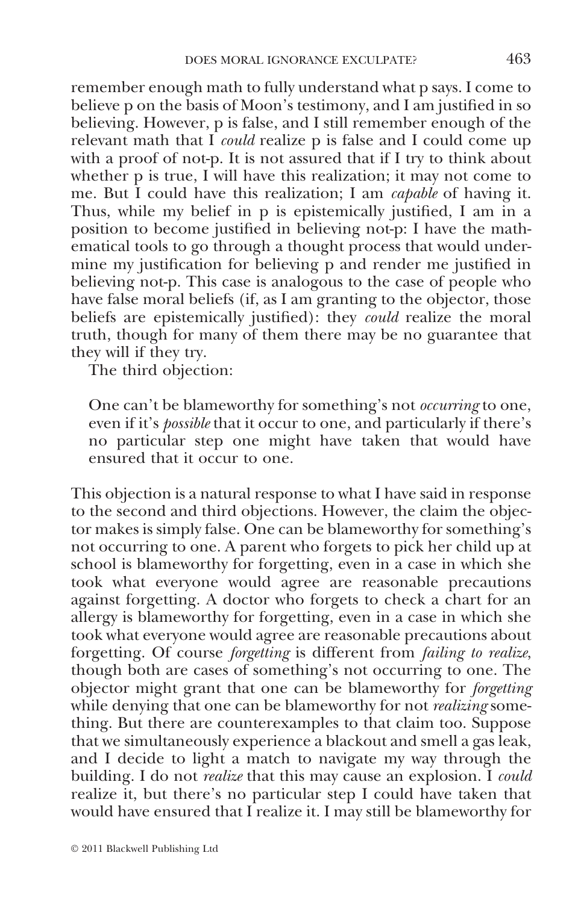remember enough math to fully understand what p says. I come to believe p on the basis of Moon's testimony, and I am justified in so believing. However, p is false, and I still remember enough of the relevant math that I *could* realize p is false and I could come up with a proof of not-p. It is not assured that if I try to think about whether  $p$  is true, I will have this realization; it may not come to me. But I could have this realization; I am *capable* of having it. Thus, while my belief in p is epistemically justified, I am in a position to become justified in believing not-p: I have the mathematical tools to go through a thought process that would undermine my justification for believing p and render me justified in believing not-p. This case is analogous to the case of people who have false moral beliefs (if, as I am granting to the objector, those beliefs are epistemically justified): they *could* realize the moral truth, though for many of them there may be no guarantee that they will if they try.

The third objection:

One can't be blameworthy for something's not *occurring* to one, even if it's *possible* that it occur to one, and particularly if there's no particular step one might have taken that would have ensured that it occur to one

This objection is a natural response to what I have said in response to the second and third objections. However, the claim the objector makes is simply false. One can be blameworthy for something's not occurring to one. A parent who forgets to pick her child up at school is blameworthy for forgetting, even in a case in which she took what everyone would agree are reasonable precautions against forgetting. A doctor who forgets to check a chart for an allergy is blameworthy for forgetting, even in a case in which she took what everyone would agree are reasonable precautions about forgetting. Of course *forgetting* is different from *failing to realize*, though both are cases of something's not occurring to one. The objector might grant that one can be blameworthy for *forgetting* while denying that one can be blameworthy for not *realizing* something. But there are counterexamples to that claim too. Suppose that we simultaneously experience a blackout and smell a gas leak, and I decide to light a match to navigate my way through the building. I do not *realize* that this may cause an explosion. I *could* realize it, but there's no particular step I could have taken that would have ensured that I realize it. I may still be blameworthy for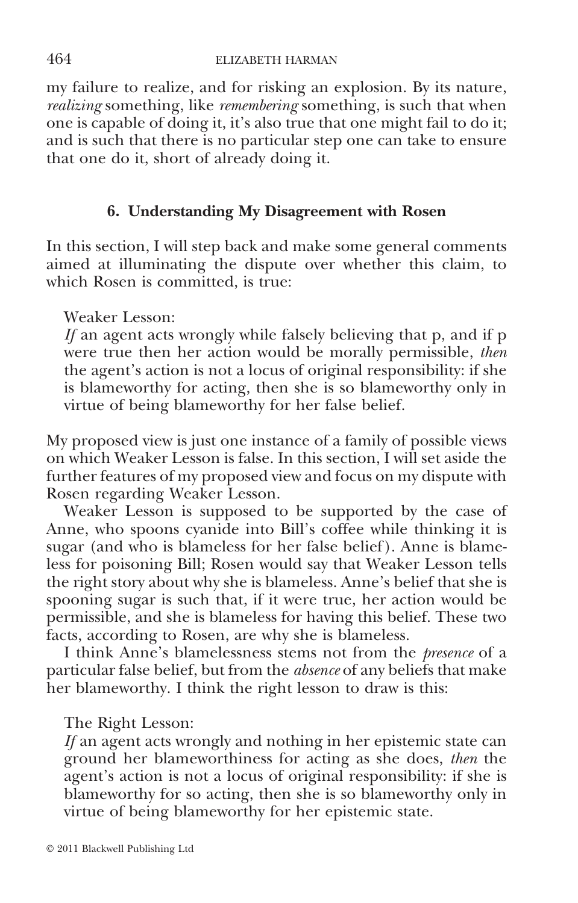my failure to realize, and for risking an explosion. By its nature, *realizing* something, like *remembering* something, is such that when one is capable of doing it, it's also true that one might fail to do it; and is such that there is no particular step one can take to ensure that one do it, short of already doing it.

# **6. Understanding My Disagreement with Rosen**

In this section, I will step back and make some general comments aimed at illuminating the dispute over whether this claim, to which Rosen is committed, is true:

Weaker Lesson:

*If* an agent acts wrongly while falsely believing that p, and if p were true then her action would be morally permissible, *then* the agent's action is not a locus of original responsibility: if she is blameworthy for acting, then she is so blameworthy only in virtue of being blameworthy for her false belief.

My proposed view is just one instance of a family of possible views on which Weaker Lesson is false. In this section, I will set aside the further features of my proposed view and focus on my dispute with Rosen regarding Weaker Lesson.

Weaker Lesson is supposed to be supported by the case of Anne, who spoons cyanide into Bill's coffee while thinking it is sugar (and who is blameless for her false belief). Anne is blameless for poisoning Bill; Rosen would say that Weaker Lesson tells the right story about why she is blameless. Anne's belief that she is spooning sugar is such that, if it were true, her action would be permissible, and she is blameless for having this belief. These two facts, according to Rosen, are why she is blameless.

I think Anne's blamelessness stems not from the *presence* of a particular false belief, but from the *absence* of any beliefs that make her blameworthy. I think the right lesson to draw is this:

The Right Lesson:

*If* an agent acts wrongly and nothing in her epistemic state can ground her blameworthiness for acting as she does, *then* the agent's action is not a locus of original responsibility: if she is blameworthy for so acting, then she is so blameworthy only in virtue of being blameworthy for her epistemic state.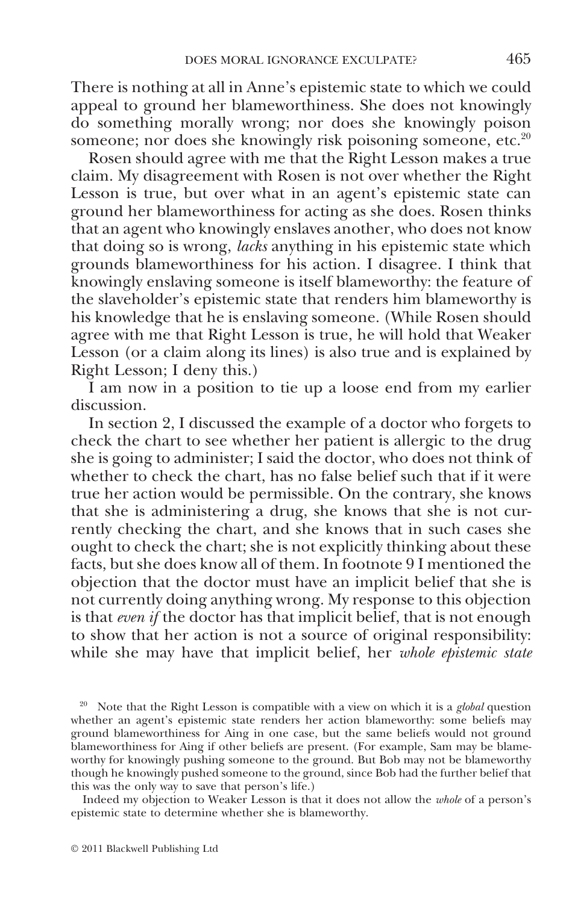There is nothing at all in Anne's epistemic state to which we could appeal to ground her blameworthiness. She does not knowingly do something morally wrong; nor does she knowingly poison someone; nor does she knowingly risk poisoning someone, etc. $20$ 

Rosen should agree with me that the Right Lesson makes a true claim. My disagreement with Rosen is not over whether the Right Lesson is true, but over what in an agent's epistemic state can ground her blameworthiness for acting as she does. Rosen thinks that an agent who knowingly enslaves another, who does not know that doing so is wrong, *lacks* anything in his epistemic state which grounds blameworthiness for his action. I disagree. I think that knowingly enslaving someone is itself blameworthy: the feature of the slaveholder's epistemic state that renders him blameworthy is his knowledge that he is enslaving someone. (While Rosen should agree with me that Right Lesson is true, he will hold that Weaker Lesson (or a claim along its lines) is also true and is explained by Right Lesson; I deny this.)

I am now in a position to tie up a loose end from my earlier discussion.

In section 2, I discussed the example of a doctor who forgets to check the chart to see whether her patient is allergic to the drug she is going to administer; I said the doctor, who does not think of whether to check the chart, has no false belief such that if it were true her action would be permissible. On the contrary, she knows that she is administering a drug, she knows that she is not currently checking the chart, and she knows that in such cases she ought to check the chart; she is not explicitly thinking about these facts, but she does know all of them. In footnote 9 I mentioned the objection that the doctor must have an implicit belief that she is not currently doing anything wrong. My response to this objection is that *even if* the doctor has that implicit belief, that is not enough to show that her action is not a source of original responsibility: while she may have that implicit belief, her *whole epistemic state*

<sup>20</sup> Note that the Right Lesson is compatible with a view on which it is a *global* question whether an agent's epistemic state renders her action blameworthy: some beliefs may ground blameworthiness for Aing in one case, but the same beliefs would not ground blameworthiness for Aing if other beliefs are present. (For example, Sam may be blameworthy for knowingly pushing someone to the ground. But Bob may not be blameworthy though he knowingly pushed someone to the ground, since Bob had the further belief that this was the only way to save that person's life.)

Indeed my objection to Weaker Lesson is that it does not allow the *whole* of a person's epistemic state to determine whether she is blameworthy.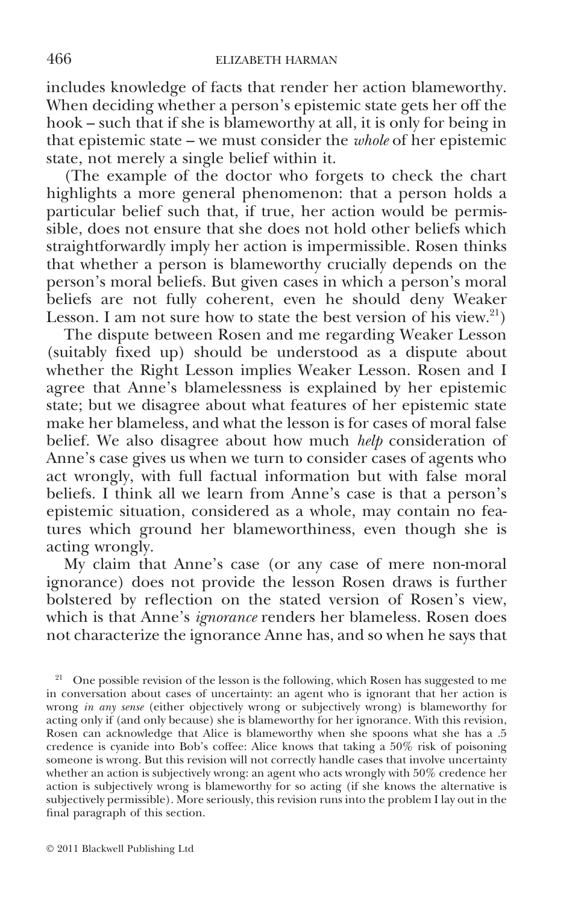includes knowledge of facts that render her action blameworthy. When deciding whether a person's epistemic state gets her off the hook – such that if she is blameworthy at all, it is only for being in that epistemic state – we must consider the *whole* of her epistemic state, not merely a single belief within it.

(The example of the doctor who forgets to check the chart highlights a more general phenomenon: that a person holds a particular belief such that, if true, her action would be permissible, does not ensure that she does not hold other beliefs which straightforwardly imply her action is impermissible. Rosen thinks that whether a person is blameworthy crucially depends on the person's moral beliefs. But given cases in which a person's moral beliefs are not fully coherent, even he should deny Weaker Lesson. I am not sure how to state the best version of his view.<sup>21</sup>)

The dispute between Rosen and me regarding Weaker Lesson (suitably fixed up) should be understood as a dispute about whether the Right Lesson implies Weaker Lesson. Rosen and I agree that Anne's blamelessness is explained by her epistemic state; but we disagree about what features of her epistemic state make her blameless, and what the lesson is for cases of moral false belief. We also disagree about how much *help* consideration of Anne's case gives us when we turn to consider cases of agents who act wrongly, with full factual information but with false moral beliefs. I think all we learn from Anne's case is that a person's epistemic situation, considered as a whole, may contain no features which ground her blameworthiness, even though she is acting wrongly.

My claim that Anne's case (or any case of mere non-moral ignorance) does not provide the lesson Rosen draws is further bolstered by reflection on the stated version of Rosen's view, which is that Anne's *ignorance* renders her blameless. Rosen does not characterize the ignorance Anne has, and so when he says that

<sup>21</sup> One possible revision of the lesson is the following, which Rosen has suggested to me in conversation about cases of uncertainty: an agent who is ignorant that her action is wrong *in any sense* (either objectively wrong or subjectively wrong) is blameworthy for acting only if (and only because) she is blameworthy for her ignorance. With this revision, Rosen can acknowledge that Alice is blameworthy when she spoons what she has a .5 credence is cyanide into Bob's coffee: Alice knows that taking a 50% risk of poisoning someone is wrong. But this revision will not correctly handle cases that involve uncertainty whether an action is subjectively wrong: an agent who acts wrongly with 50% credence her action is subjectively wrong is blameworthy for so acting (if she knows the alternative is subjectively permissible). More seriously, this revision runs into the problem I lay out in the final paragraph of this section.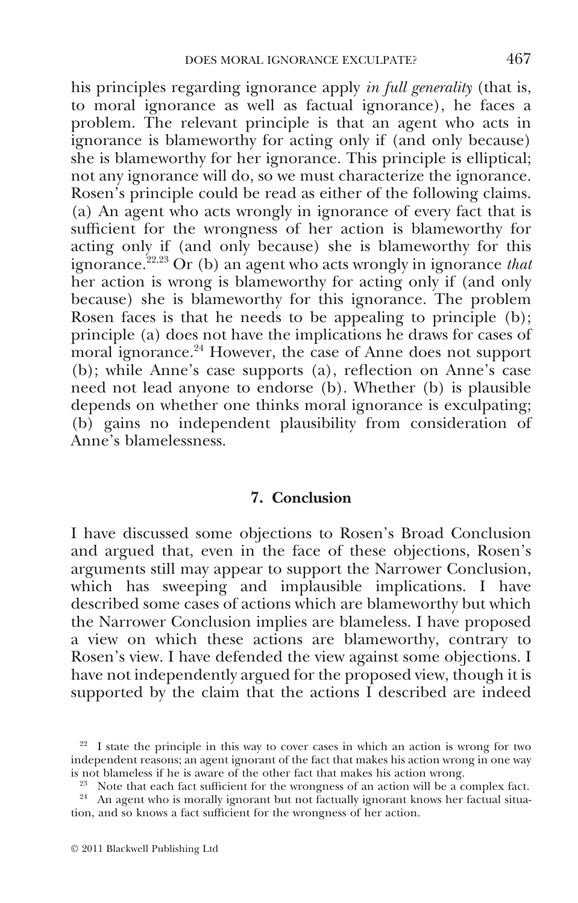his principles regarding ignorance apply *in full generality* (that is, to moral ignorance as well as factual ignorance), he faces a problem. The relevant principle is that an agent who acts in ignorance is blameworthy for acting only if (and only because) she is blameworthy for her ignorance. This principle is elliptical; not any ignorance will do, so we must characterize the ignorance. Rosen's principle could be read as either of the following claims. (a) An agent who acts wrongly in ignorance of every fact that is sufficient for the wrongness of her action is blameworthy for acting only if (and only because) she is blameworthy for this ignorance.22,23 Or (b) an agent who acts wrongly in ignorance *that* her action is wrong is blameworthy for acting only if (and only because) she is blameworthy for this ignorance. The problem Rosen faces is that he needs to be appealing to principle  $(b)$ ; principle (a) does not have the implications he draws for cases of moral ignorance.<sup>24</sup> However, the case of Anne does not support (b); while Anne's case supports (a), reflection on Anne's case need not lead anyone to endorse  $(b)$ . Whether  $(b)$  is plausible depends on whether one thinks moral ignorance is exculpating; (b) gains no independent plausibility from consideration of Anne's blamelessness.

#### **7. Conclusion**

I have discussed some objections to Rosen's Broad Conclusion and argued that, even in the face of these objections, Rosen's arguments still may appear to support the Narrower Conclusion, which has sweeping and implausible implications. I have described some cases of actions which are blameworthy but which the Narrower Conclusion implies are blameless. I have proposed a view on which these actions are blameworthy, contrary to Rosen's view. I have defended the view against some objections. I have not independently argued for the proposed view, though it is supported by the claim that the actions I described are indeed

 $2<sup>22</sup>$  I state the principle in this way to cover cases in which an action is wrong for two independent reasons; an agent ignorant of the fact that makes his action wrong in one way is not blameless if he is aware of the other fact that makes his action wrong.

<sup>&</sup>lt;sup>23</sup> Note that each fact sufficient for the wrongness of an action will be a complex fact.

<sup>&</sup>lt;sup>24</sup> An agent who is morally ignorant but not factually ignorant knows her factual situation, and so knows a fact sufficient for the wrongness of her action.